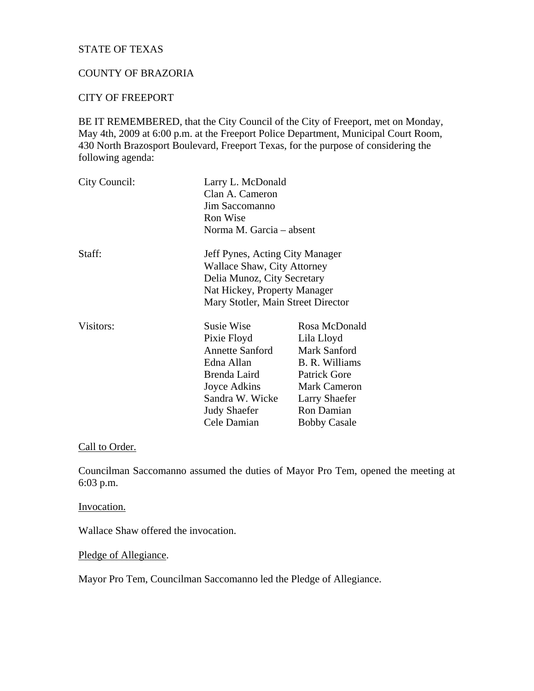# STATE OF TEXAS

## COUNTY OF BRAZORIA

#### CITY OF FREEPORT

BE IT REMEMBERED, that the City Council of the City of Freeport, met on Monday, May 4th, 2009 at 6:00 p.m. at the Freeport Police Department, Municipal Court Room, 430 North Brazosport Boulevard, Freeport Texas, for the purpose of considering the following agenda:

| City Council: | Larry L. McDonald                  |                      |
|---------------|------------------------------------|----------------------|
|               | Clan A. Cameron                    |                      |
|               | Jim Saccomanno                     |                      |
|               | Ron Wise                           |                      |
|               | Norma M. Garcia – absent           |                      |
| Staff:        | Jeff Pynes, Acting City Manager    |                      |
|               | Wallace Shaw, City Attorney        |                      |
|               | Delia Munoz, City Secretary        |                      |
|               | Nat Hickey, Property Manager       |                      |
|               | Mary Stotler, Main Street Director |                      |
| Visitors:     | Susie Wise                         | Rosa McDonald        |
|               | Pixie Floyd                        | Lila Lloyd           |
|               | <b>Annette Sanford</b>             | Mark Sanford         |
|               | Edna Allan                         | B. R. Williams       |
|               | Brenda Laird                       | <b>Patrick Gore</b>  |
|               | Joyce Adkins                       | <b>Mark Cameron</b>  |
|               | Sandra W. Wicke                    | <b>Larry Shaefer</b> |
|               | <b>Judy Shaefer</b>                | Ron Damian           |
|               | Cele Damian                        | <b>Bobby Casale</b>  |

## Call to Order.

Councilman Saccomanno assumed the duties of Mayor Pro Tem, opened the meeting at 6:03 p.m.

#### Invocation.

Wallace Shaw offered the invocation.

Pledge of Allegiance.

Mayor Pro Tem, Councilman Saccomanno led the Pledge of Allegiance.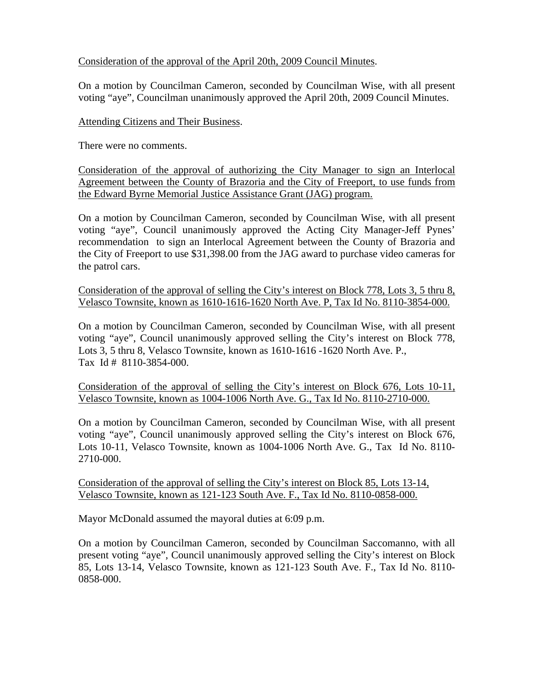## Consideration of the approval of the April 20th, 2009 Council Minutes.

On a motion by Councilman Cameron, seconded by Councilman Wise, with all present voting "aye", Councilman unanimously approved the April 20th, 2009 Council Minutes.

## Attending Citizens and Their Business.

There were no comments.

Consideration of the approval of authorizing the City Manager to sign an Interlocal Agreement between the County of Brazoria and the City of Freeport, to use funds from the Edward Byrne Memorial Justice Assistance Grant (JAG) program.

On a motion by Councilman Cameron, seconded by Councilman Wise, with all present voting "aye", Council unanimously approved the Acting City Manager-Jeff Pynes' recommendation to sign an Interlocal Agreement between the County of Brazoria and the City of Freeport to use \$31,398.00 from the JAG award to purchase video cameras for the patrol cars.

Consideration of the approval of selling the City's interest on Block 778, Lots 3, 5 thru 8, Velasco Townsite, known as 1610-1616-1620 North Ave. P, Tax Id No. 8110-3854-000.

On a motion by Councilman Cameron, seconded by Councilman Wise, with all present voting "aye", Council unanimously approved selling the City's interest on Block 778, Lots 3, 5 thru 8, Velasco Townsite, known as 1610-1616 -1620 North Ave. P., Tax Id # 8110-3854-000.

Consideration of the approval of selling the City's interest on Block 676, Lots 10-11, Velasco Townsite, known as 1004-1006 North Ave. G., Tax Id No. 8110-2710-000.

On a motion by Councilman Cameron, seconded by Councilman Wise, with all present voting "aye", Council unanimously approved selling the City's interest on Block 676, Lots 10-11, Velasco Townsite, known as 1004-1006 North Ave. G., Tax Id No. 8110- 2710-000.

Consideration of the approval of selling the City's interest on Block 85, Lots 13-14, Velasco Townsite, known as 121-123 South Ave. F., Tax Id No. 8110-0858-000.

Mayor McDonald assumed the mayoral duties at 6:09 p.m.

On a motion by Councilman Cameron, seconded by Councilman Saccomanno, with all present voting "aye", Council unanimously approved selling the City's interest on Block 85, Lots 13-14, Velasco Townsite, known as 121-123 South Ave. F., Tax Id No. 8110- 0858-000.